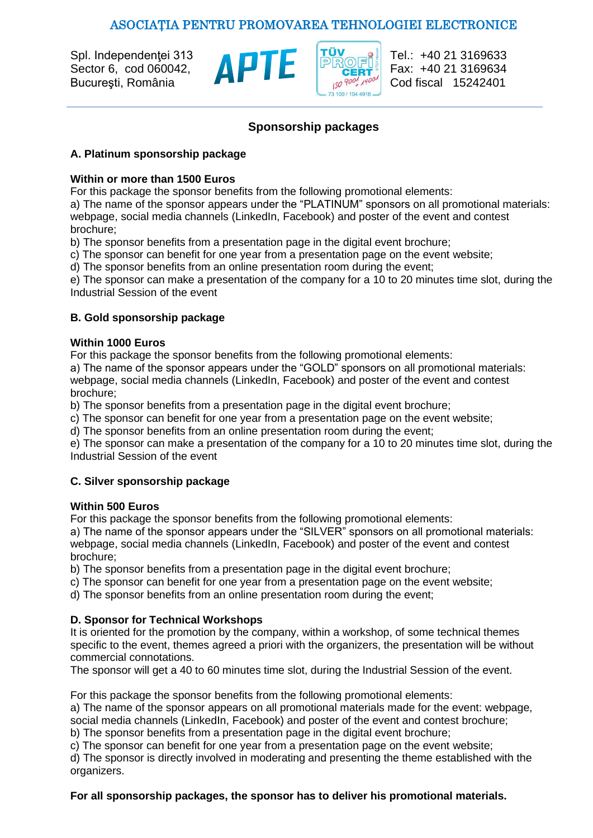# ASOCIAŢIA PENTRU PROMOVAREA TEHNOLOGIEI ELECTRONICE



Cod fiscal 15242401

## **Sponsorship packages**

#### **A. Platinum sponsorship package**

### **Within or more than 1500 Euros**

For this package the sponsor benefits from the following promotional elements:

a) The name of the sponsor appears under the "PLATINUM" sponsors on all promotional materials: webpage, social media channels (LinkedIn, Facebook) and poster of the event and contest brochure;

b) The sponsor benefits from a presentation page in the digital event brochure;

c) The sponsor can benefit for one year from a presentation page on the event website;

d) The sponsor benefits from an online presentation room during the event;

e) The sponsor can make a presentation of the company for a 10 to 20 minutes time slot, during the Industrial Session of the event

## **B. Gold sponsorship package**

### **Within 1000 Euros**

For this package the sponsor benefits from the following promotional elements:

a) The name of the sponsor appears under the "GOLD" sponsors on all promotional materials: webpage, social media channels (LinkedIn, Facebook) and poster of the event and contest brochure;

b) The sponsor benefits from a presentation page in the digital event brochure;

c) The sponsor can benefit for one year from a presentation page on the event website;

d) The sponsor benefits from an online presentation room during the event;

e) The sponsor can make a presentation of the company for a 10 to 20 minutes time slot, during the Industrial Session of the event

## **C. Silver sponsorship package**

#### **Within 500 Euros**

For this package the sponsor benefits from the following promotional elements:

a) The name of the sponsor appears under the "SILVER" sponsors on all promotional materials: webpage, social media channels (LinkedIn, Facebook) and poster of the event and contest brochure;

b) The sponsor benefits from a presentation page in the digital event brochure;

c) The sponsor can benefit for one year from a presentation page on the event website;

d) The sponsor benefits from an online presentation room during the event;

## **D. Sponsor for Technical Workshops**

It is oriented for the promotion by the company, within a workshop, of some technical themes specific to the event, themes agreed a priori with the organizers, the presentation will be without commercial connotations.

The sponsor will get a 40 to 60 minutes time slot, during the Industrial Session of the event.

For this package the sponsor benefits from the following promotional elements:

a) The name of the sponsor appears on all promotional materials made for the event: webpage, social media channels (LinkedIn, Facebook) and poster of the event and contest brochure;

b) The sponsor benefits from a presentation page in the digital event brochure;

c) The sponsor can benefit for one year from a presentation page on the event website;

d) The sponsor is directly involved in moderating and presenting the theme established with the organizers.

#### **For all sponsorship packages, the sponsor has to deliver his promotional materials.**